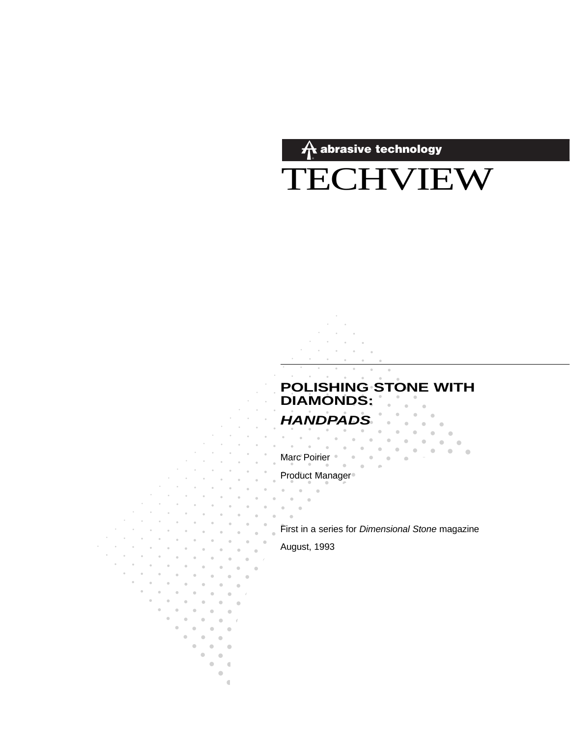$\hat{\boldsymbol{\pi}}$  abrasive technology

TECHVIEW

# **POLISHING STONE WITH<br>DIAMONDS: HANDPADS**

 $\blacksquare$  $\blacksquare$  $\sim$  0.1  $\sim$ 

 $\blacksquare$  $\blacksquare$ 

 $\alpha$  .

 $\Box$ 

 $\sim$ 

 $\mathbf{r} = \mathbf{r} + \mathbf{r} + \mathbf{r} + \mathbf{r} + \mathbf{r} + \mathbf{r} + \mathbf{r} + \mathbf{r} + \mathbf{r} + \mathbf{r} + \mathbf{r} + \mathbf{r} + \mathbf{r} + \mathbf{r} + \mathbf{r} + \mathbf{r} + \mathbf{r} + \mathbf{r} + \mathbf{r} + \mathbf{r} + \mathbf{r} + \mathbf{r} + \mathbf{r} + \mathbf{r} + \mathbf{r} + \mathbf{r} + \mathbf{r} + \mathbf{r} + \mathbf{r} + \mathbf{r} + \mathbf$ 

 $\theta_{\rm{max}}$  and Marc Poirier  $\bullet$  .  $\alpha$ 

Product Manager<sup>®</sup>

First in a series for Dimensional Stone magazine

August, 1993

 $\bullet$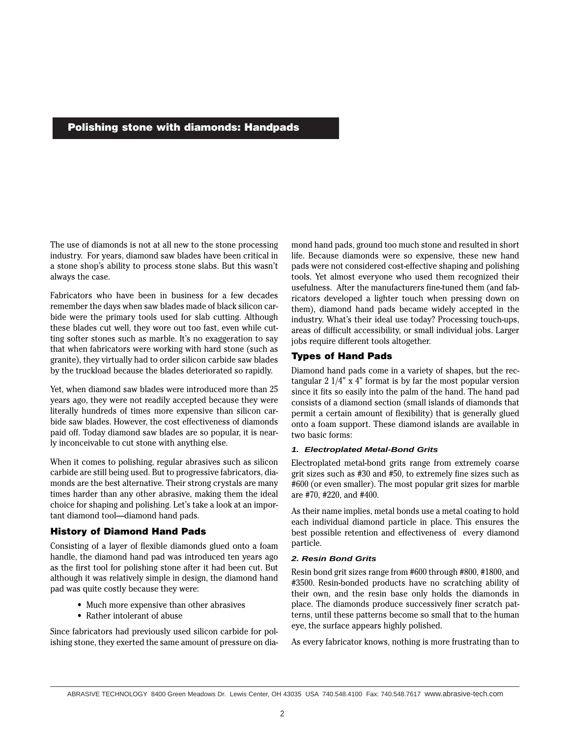#### **Polishing stone with diamonds: Handpads**

The use of diamonds is not at all new to the stone processing industry. For years, diamond saw blades have been critical in a stone shop's ability to process stone slabs. But this wasn't always the case.

Fabricators who have been in business for a few decades remember the days when saw blades made of black silicon carbide were the primary tools used for slab cutting. Although these blades cut well, they wore out too fast, even while cutting softer stones such as marble. It's no exaggeration to say that when fabricators were working with hard stone (such as granite), they virtually had to order silicon carbide saw blades by the truckload because the blades deteriorated so rapidly.

Yet, when diamond saw blades were introduced more than 25 years ago, they were not readily accepted because they were literally hundreds of times more expensive than silicon carbide saw blades. However, the cost effectiveness of diamonds paid off. Today diamond saw blades are so popular, it is nearly inconceivable to cut stone with anything else.

When it comes to polishing, regular abrasives such as silicon carbide are still being used. But to progressive fabricators, diamonds are the best alternative. Their strong crystals are many times harder than any other abrasive, making them the ideal choice for shaping and polishing. Let's take a look at an important diamond tool—diamond hand pads.

#### **History of Diamond Hand Pads**

Consisting of a layer of flexible diamonds glued onto a foam handle, the diamond hand pad was introduced ten years ago as the first tool for polishing stone after it had been cut. But although it was relatively simple in design, the diamond hand pad was quite costly because they were:

- Much more expensive than other abrasives
- Rather intolerant of abuse

Since fabricators had previously used silicon carbide for polishing stone, they exerted the same amount of pressure on diamond hand pads, ground too much stone and resulted in short life. Because diamonds were so expensive, these new hand pads were not considered cost-effective shaping and polishing tools. Yet almost everyone who used them recognized their usefulness. After the manufacturers fine-tuned them (and fabricators developed a lighter touch when pressing down on them), diamond hand pads became widely accepted in the industry. What's their ideal use today? Processing touch-ups, areas of difficult accessibility, or small individual jobs. Larger jobs require different tools altogether.

#### **Types of Hand Pads**

Diamond hand pads come in a variety of shapes, but the rectangular 2 1/4" x 4" format is by far the most popular version since it fits so easily into the palm of the hand. The hand pad consists of a diamond section (small islands of diamonds that permit a certain amount of flexibility) that is generally glued onto a foam support. These diamond islands are available in two basic forms:

#### **1. Electroplated Metal-Bond Grits**

Electroplated metal-bond grits range from extremely coarse grit sizes such as #30 and #50, to extremely fine sizes such as #600 (or even smaller). The most popular grit sizes for marble are #70, #220, and #400.

As their name implies, metal bonds use a metal coating to hold each individual diamond particle in place. This ensures the best possible retention and effectiveness of every diamond particle.

#### **2. Resin Bond Grits**

Resin bond grit sizes range from #600 through #800, #1800, and #3500. Resin-bonded products have no scratching ability of their own, and the resin base only holds the diamonds in place. The diamonds produce successively finer scratch patterns, until these patterns become so small that to the human eye, the surface appears highly polished.

As every fabricator knows, nothing is more frustrating than to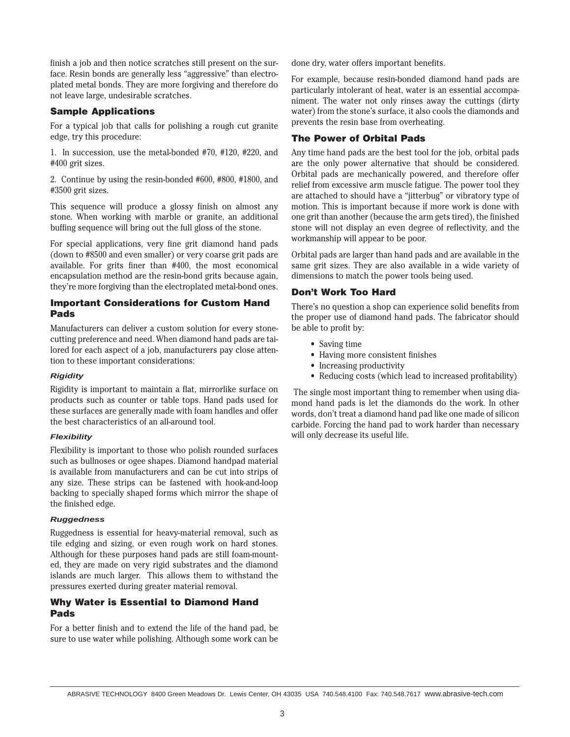finish a job and then notice scratches still present on the surface. Resin bonds are generally less "aggressive" than electroplated metal bonds. They are more forgiving and therefore do not leave large, undesirable scratches.

#### **Sample Applications**

For a typical job that calls for polishing a rough cut granite edge, try this procedure:

1. In succession, use the metal-bonded #70, #120, #220, and #400 grit sizes.

2. Continue by using the resin-bonded #600, #800, #1800, and #3500 grit sizes.

This sequence will produce a glossy finish on almost any stone. When working with marble or granite, an additional buffing sequence will bring out the full gloss of the stone.

For special applications, very fine grit diamond hand pads (down to #8500 and even smaller) or very coarse grit pads are available. For grits finer than #400, the most economical encapsulation method are the resin-bond grits because again, they're more forgiving than the electroplated metal-bond ones.

#### **Important Considerations for Custom Hand Pads**

Manufacturers can deliver a custom solution for every stonecutting preference and need. When diamond hand pads are tailored for each aspect of a job, manufacturers pay close attention to these important considerations:

#### **Rigidity**

Rigidity is important to maintain a flat, mirrorlike surface on products such as counter or table tops. Hand pads used for these surfaces are generally made with foam handles and offer the best characteristics of an all-around tool.

#### **Flexibility**

Flexibility is important to those who polish rounded surfaces such as bullnoses or ogee shapes. Diamond handpad material is available from manufacturers and can be cut into strips of any size. These strips can be fastened with hook-and-loop backing to specially shaped forms which mirror the shape of the finished edge.

#### **Ruggedness**

Ruggedness is essential for heavy-material removal, such as tile edging and sizing, or even rough work on hard stones. Although for these purposes hand pads are still foam-mounted, they are made on very rigid substrates and the diamond islands are much larger. This allows them to withstand the pressures exerted during greater material removal.

### **Why Water is Essential to Diamond Hand Pads**

For a better finish and to extend the life of the hand pad, be sure to use water while polishing. Although some work can be done dry, water offers important benefits.

For example, because resin-bonded diamond hand pads are particularly intolerant of heat, water is an essential accompaniment. The water not only rinses away the cuttings (dirty water) from the stone's surface, it also cools the diamonds and prevents the resin base from overheating.

### **The Power of Orbital Pads**

Any time hand pads are the best tool for the job, orbital pads are the only power alternative that should be considered. Orbital pads are mechanically powered, and therefore offer relief from excessive arm muscle fatigue. The power tool they are attached to should have a "jitterbug" or vibratory type of motion. This is important because if more work is done with one grit than another (because the arm gets tired), the finished stone will not display an even degree of reflectivity, and the workmanship will appear to be poor.

Orbital pads are larger than hand pads and are available in the same grit sizes. They are also available in a wide variety of dimensions to match the power tools being used.

### **Don't Work Too Hard**

There's no question a shop can experience solid benefits from the proper use of diamond hand pads. The fabricator should be able to profit by:

- Saving time
- Having more consistent finishes
- Increasing productivity
- Reducing costs (which lead to increased profitability)

The single most important thing to remember when using diamond hand pads is let the diamonds do the work. In other words, don't treat a diamond hand pad like one made of silicon carbide. Forcing the hand pad to work harder than necessary will only decrease its useful life.